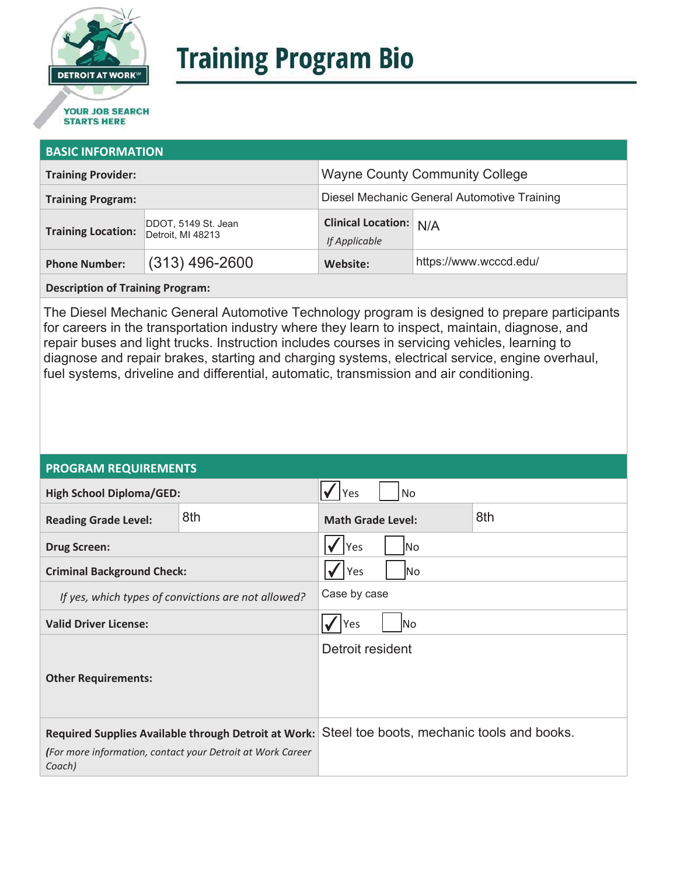

# **Training Program Bio**

## **STARTS HERE**

#### **BASIC INFORMATION**

| <b>Training Provider:</b> |                                          | <b>Wayne County Community College</b>          |                        |  |
|---------------------------|------------------------------------------|------------------------------------------------|------------------------|--|
| <b>Training Program:</b>  |                                          | Diesel Mechanic General Automotive Training    |                        |  |
| <b>Training Location:</b> | DDOT, 5149 St. Jean<br>Detroit, MI 48213 | <b>Clinical Location: N/A</b><br>If Applicable |                        |  |
| <b>Phone Number:</b>      | $(313)$ 496-2600                         | Website:                                       | https://www.wcccd.edu/ |  |

**Description of Training Program:** 

The Diesel Mechanic General Automotive Technology program is designed to prepare participants for careers in the transportation industry where they learn to inspect, maintain, diagnose, and repair buses and light trucks. Instruction includes courses in servicing vehicles, learning to diagnose and repair brakes, starting and charging systems, electrical service, engine overhaul, fuel systems, driveline and differential, automatic, transmission and air conditioning.

#### **PROGRAM REQUIREMENTS**

| <b>High School Diploma/GED:</b>                                                                                              |     | <b>No</b><br>Yes                |  |                                            |
|------------------------------------------------------------------------------------------------------------------------------|-----|---------------------------------|--|--------------------------------------------|
| <b>Reading Grade Level:</b>                                                                                                  | 8th | 8th<br><b>Math Grade Level:</b> |  |                                            |
| <b>Drug Screen:</b>                                                                                                          |     | Yes<br>No.                      |  |                                            |
| <b>Criminal Background Check:</b>                                                                                            |     | Yes<br> No                      |  |                                            |
| If yes, which types of convictions are not allowed?                                                                          |     | Case by case                    |  |                                            |
| <b>Valid Driver License:</b>                                                                                                 |     | lNo<br>Yes                      |  |                                            |
| <b>Other Requirements:</b>                                                                                                   |     | Detroit resident                |  |                                            |
| Required Supplies Available through Detroit at Work:<br>(For more information, contact your Detroit at Work Career<br>Coach) |     |                                 |  | Steel toe boots, mechanic tools and books. |